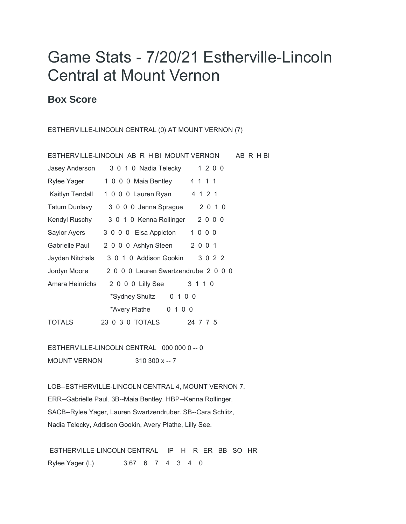## Game Stats - 7/20/21 Estherville-Lincoln Central at Mount Vernon

## **Box Score**

ESTHERVILLE-LINCOLN CENTRAL (0) AT MOUNT VERNON (7)

| ESTHERVILLE-LINCOLN AB R H BI MOUNT VERNON | AB R H BI                            |  |
|--------------------------------------------|--------------------------------------|--|
| Jasey Anderson                             | 3 0 1 0 Nadia Telecky 1 2 0 0        |  |
| Rylee Yager                                | 4 1 1 1<br>1 0 0 0 Maia Bentley      |  |
| Kaitlyn Tendall                            | 4 1 2 1<br>1 0 0 0 Lauren Ryan       |  |
| Tatum Dunlavy                              | 2 0 1 0<br>3 0 0 0 Jenna Sprague     |  |
| Kendyl Ruschy                              | 3 0 1 0 Kenna Rollinger 2 0 0 0      |  |
| Saylor Ayers                               | 1000<br>3 0 0 0 Elsa Appleton        |  |
| Gabrielle Paul                             | 2 0 0 1<br>2 0 0 0 Ashlyn Steen      |  |
| Jayden Nitchals                            | 3 0 1 0 Addison Gookin<br>3 0 2 2    |  |
| Jordyn Moore                               | 2 0 0 0 Lauren Swartzendrube 2 0 0 0 |  |
| Amara Heinrichs                            | 2 0 0 0 Lilly See<br>3 1 1 0         |  |
|                                            | *Sydney Shultz<br>0 1 0 0            |  |
|                                            | *Avery Plathe 0 1 0 0                |  |
| <b>TOTALS</b>                              | 23 0 3 0 TOTALS<br>24 7 7 5          |  |

ESTHERVILLE-LINCOLN CENTRAL 000 000 0 -- 0 MOUNT VERNON 310 300 x -- 7

LOB--ESTHERVILLE-LINCOLN CENTRAL 4, MOUNT VERNON 7. ERR--Gabrielle Paul. 3B--Maia Bentley. HBP--Kenna Rollinger. SACB--Rylee Yager, Lauren Swartzendruber. SB--Cara Schlitz, Nadia Telecky, Addison Gookin, Avery Plathe, Lilly See.

ESTHERVILLE-LINCOLN CENTRAL IP H R ER BB SO HR Rylee Yager (L) 3.67 6 7 4 3 4 0